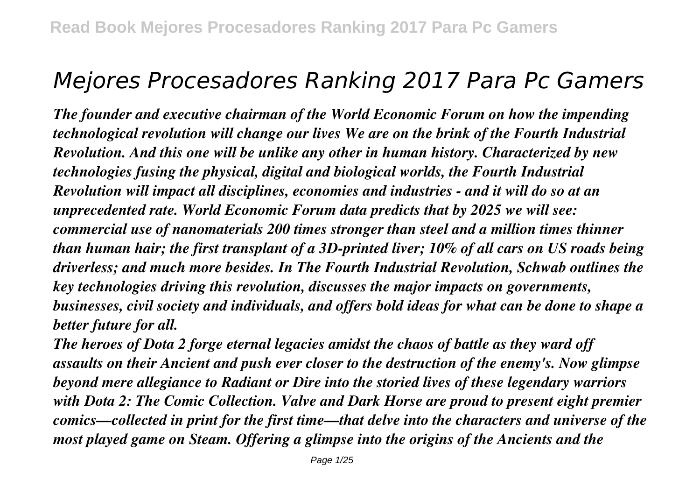# *Mejores Procesadores Ranking 2017 Para Pc Gamers*

*The founder and executive chairman of the World Economic Forum on how the impending technological revolution will change our lives We are on the brink of the Fourth Industrial Revolution. And this one will be unlike any other in human history. Characterized by new technologies fusing the physical, digital and biological worlds, the Fourth Industrial Revolution will impact all disciplines, economies and industries - and it will do so at an unprecedented rate. World Economic Forum data predicts that by 2025 we will see: commercial use of nanomaterials 200 times stronger than steel and a million times thinner than human hair; the first transplant of a 3D-printed liver; 10% of all cars on US roads being driverless; and much more besides. In The Fourth Industrial Revolution, Schwab outlines the key technologies driving this revolution, discusses the major impacts on governments, businesses, civil society and individuals, and offers bold ideas for what can be done to shape a better future for all.*

*The heroes of Dota 2 forge eternal legacies amidst the chaos of battle as they ward off assaults on their Ancient and push ever closer to the destruction of the enemy's. Now glimpse beyond mere allegiance to Radiant or Dire into the storied lives of these legendary warriors with Dota 2: The Comic Collection. Valve and Dark Horse are proud to present eight premier comics—collected in print for the first time—that delve into the characters and universe of the most played game on Steam. Offering a glimpse into the origins of the Ancients and the*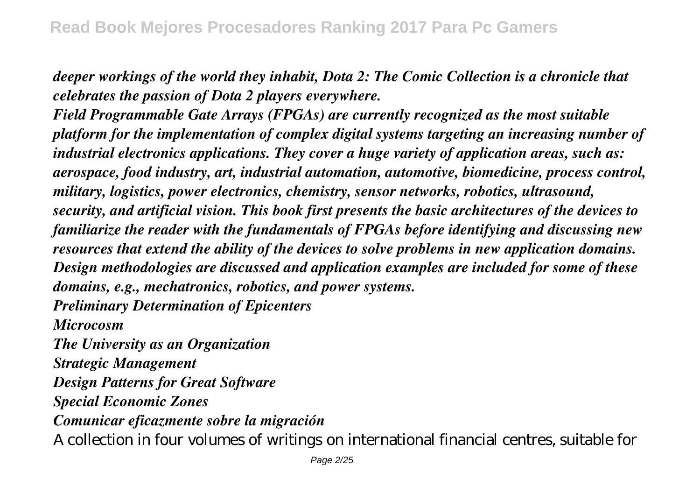*deeper workings of the world they inhabit, Dota 2: The Comic Collection is a chronicle that celebrates the passion of Dota 2 players everywhere.*

*Field Programmable Gate Arrays (FPGAs) are currently recognized as the most suitable platform for the implementation of complex digital systems targeting an increasing number of industrial electronics applications. They cover a huge variety of application areas, such as: aerospace, food industry, art, industrial automation, automotive, biomedicine, process control, military, logistics, power electronics, chemistry, sensor networks, robotics, ultrasound, security, and artificial vision. This book first presents the basic architectures of the devices to familiarize the reader with the fundamentals of FPGAs before identifying and discussing new resources that extend the ability of the devices to solve problems in new application domains. Design methodologies are discussed and application examples are included for some of these domains, e.g., mechatronics, robotics, and power systems.*

*Preliminary Determination of Epicenters Microcosm*

*The University as an Organization Strategic Management Design Patterns for Great Software Special Economic Zones Comunicar eficazmente sobre la migración* A collection in four volumes of writings on international financial centres, suitable for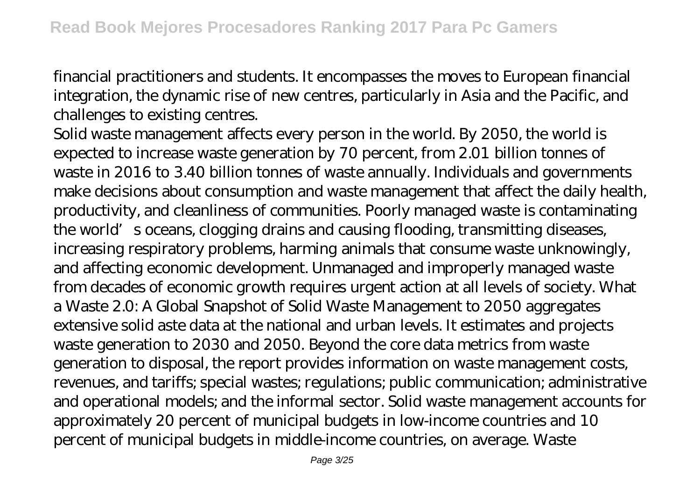financial practitioners and students. It encompasses the moves to European financial integration, the dynamic rise of new centres, particularly in Asia and the Pacific, and challenges to existing centres.

Solid waste management affects every person in the world. By 2050, the world is expected to increase waste generation by 70 percent, from 2.01 billion tonnes of waste in 2016 to 3.40 billion tonnes of waste annually. Individuals and governments make decisions about consumption and waste management that affect the daily health, productivity, and cleanliness of communities. Poorly managed waste is contaminating the world's oceans, clogging drains and causing flooding, transmitting diseases, increasing respiratory problems, harming animals that consume waste unknowingly, and affecting economic development. Unmanaged and improperly managed waste from decades of economic growth requires urgent action at all levels of society. What a Waste 2.0: A Global Snapshot of Solid Waste Management to 2050 aggregates extensive solid aste data at the national and urban levels. It estimates and projects waste generation to 2030 and 2050. Beyond the core data metrics from waste generation to disposal, the report provides information on waste management costs, revenues, and tariffs; special wastes; regulations; public communication; administrative and operational models; and the informal sector. Solid waste management accounts for approximately 20 percent of municipal budgets in low-income countries and 10 percent of municipal budgets in middle-income countries, on average. Waste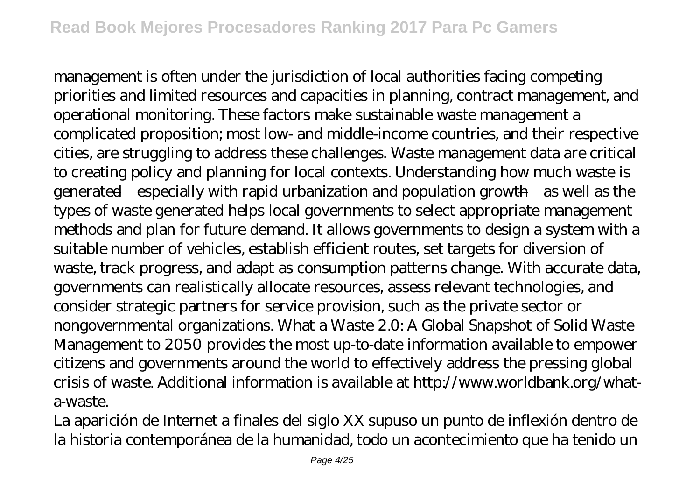management is often under the jurisdiction of local authorities facing competing priorities and limited resources and capacities in planning, contract management, and operational monitoring. These factors make sustainable waste management a complicated proposition; most low- and middle-income countries, and their respective cities, are struggling to address these challenges. Waste management data are critical to creating policy and planning for local contexts. Understanding how much waste is generated—especially with rapid urbanization and population growth—as well as the types of waste generated helps local governments to select appropriate management methods and plan for future demand. It allows governments to design a system with a suitable number of vehicles, establish efficient routes, set targets for diversion of waste, track progress, and adapt as consumption patterns change. With accurate data, governments can realistically allocate resources, assess relevant technologies, and consider strategic partners for service provision, such as the private sector or nongovernmental organizations. What a Waste 2.0: A Global Snapshot of Solid Waste Management to 2050 provides the most up-to-date information available to empower citizens and governments around the world to effectively address the pressing global crisis of waste. Additional information is available at http://www.worldbank.org/whata-waste.

La aparición de Internet a finales del siglo XX supuso un punto de inflexión dentro de la historia contemporánea de la humanidad, todo un acontecimiento que ha tenido un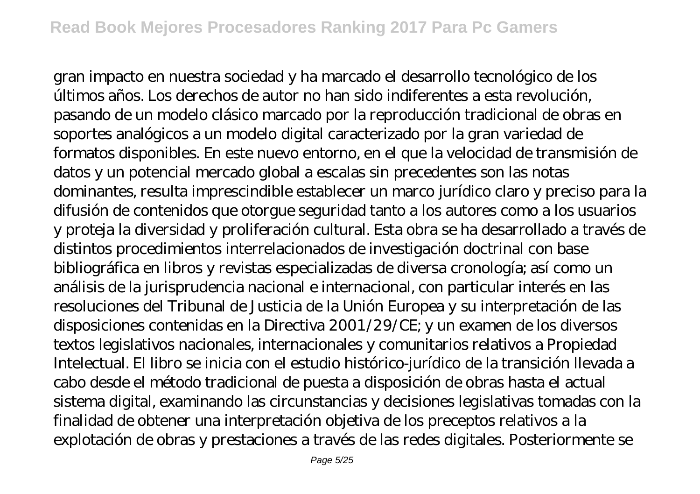gran impacto en nuestra sociedad y ha marcado el desarrollo tecnológico de los últimos años. Los derechos de autor no han sido indiferentes a esta revolución, pasando de un modelo clásico marcado por la reproducción tradicional de obras en soportes analógicos a un modelo digital caracterizado por la gran variedad de formatos disponibles. En este nuevo entorno, en el que la velocidad de transmisión de datos y un potencial mercado global a escalas sin precedentes son las notas dominantes, resulta imprescindible establecer un marco jurídico claro y preciso para la difusión de contenidos que otorgue seguridad tanto a los autores como a los usuarios y proteja la diversidad y proliferación cultural. Esta obra se ha desarrollado a través de distintos procedimientos interrelacionados de investigación doctrinal con base bibliográfica en libros y revistas especializadas de diversa cronología; así como un análisis de la jurisprudencia nacional e internacional, con particular interés en las resoluciones del Tribunal de Justicia de la Unión Europea y su interpretación de las disposiciones contenidas en la Directiva 2001/29/CE; y un examen de los diversos textos legislativos nacionales, internacionales y comunitarios relativos a Propiedad Intelectual. El libro se inicia con el estudio histórico-jurídico de la transición llevada a cabo desde el método tradicional de puesta a disposición de obras hasta el actual sistema digital, examinando las circunstancias y decisiones legislativas tomadas con la finalidad de obtener una interpretación objetiva de los preceptos relativos a la explotación de obras y prestaciones a través de las redes digitales. Posteriormente se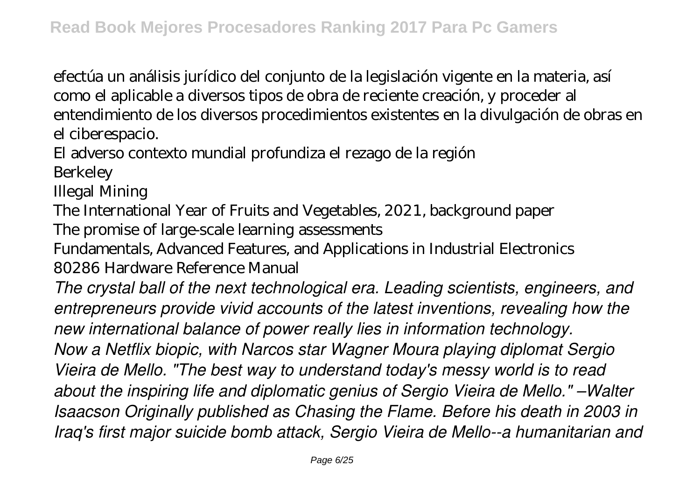efectúa un análisis jurídico del conjunto de la legislación vigente en la materia, así como el aplicable a diversos tipos de obra de reciente creación, y proceder al entendimiento de los diversos procedimientos existentes en la divulgación de obras en el ciberespacio.

El adverso contexto mundial profundiza el rezago de la región

Berkeley

Illegal Mining

The International Year of Fruits and Vegetables, 2021, background paper

The promise of large-scale learning assessments

Fundamentals, Advanced Features, and Applications in Industrial Electronics 80286 Hardware Reference Manual

*The crystal ball of the next technological era. Leading scientists, engineers, and entrepreneurs provide vivid accounts of the latest inventions, revealing how the new international balance of power really lies in information technology. Now a Netflix biopic, with Narcos star Wagner Moura playing diplomat Sergio Vieira de Mello. "The best way to understand today's messy world is to read about the inspiring life and diplomatic genius of Sergio Vieira de Mello." –Walter Isaacson Originally published as Chasing the Flame. Before his death in 2003 in Iraq's first major suicide bomb attack, Sergio Vieira de Mello--a humanitarian and*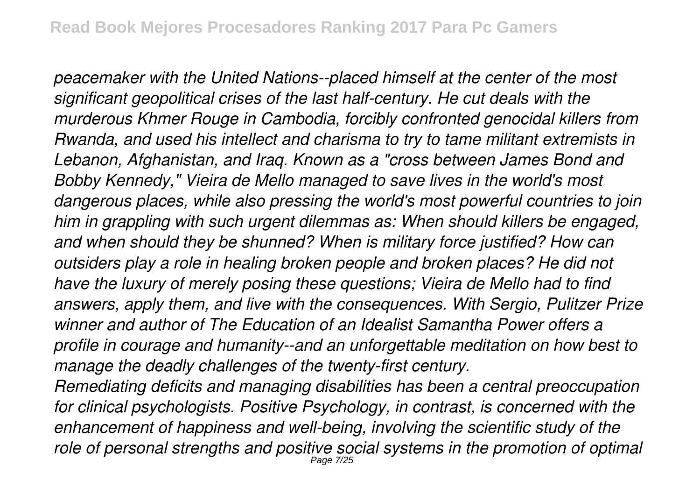*peacemaker with the United Nations--placed himself at the center of the most significant geopolitical crises of the last half-century. He cut deals with the murderous Khmer Rouge in Cambodia, forcibly confronted genocidal killers from Rwanda, and used his intellect and charisma to try to tame militant extremists in Lebanon, Afghanistan, and Iraq. Known as a "cross between James Bond and Bobby Kennedy," Vieira de Mello managed to save lives in the world's most dangerous places, while also pressing the world's most powerful countries to join him in grappling with such urgent dilemmas as: When should killers be engaged, and when should they be shunned? When is military force justified? How can outsiders play a role in healing broken people and broken places? He did not have the luxury of merely posing these questions; Vieira de Mello had to find answers, apply them, and live with the consequences. With Sergio, Pulitzer Prize winner and author of The Education of an Idealist Samantha Power offers a profile in courage and humanity--and an unforgettable meditation on how best to manage the deadly challenges of the twenty-first century.*

*Remediating deficits and managing disabilities has been a central preoccupation for clinical psychologists. Positive Psychology, in contrast, is concerned with the enhancement of happiness and well-being, involving the scientific study of the role of personal strengths and positive social systems in the promotion of optimal* Page 7/25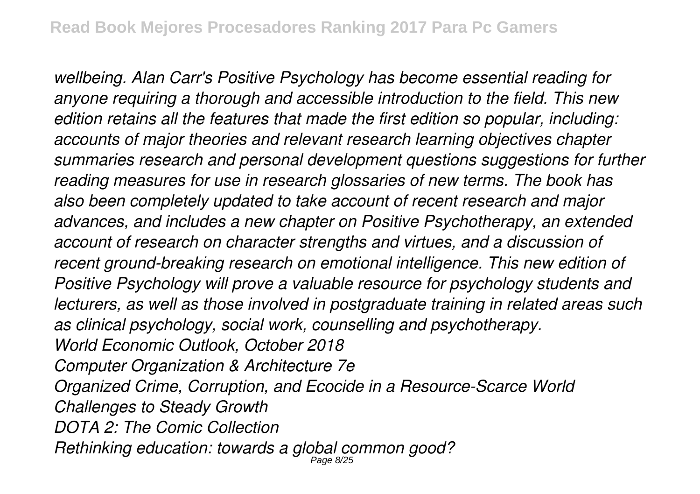*wellbeing. Alan Carr's Positive Psychology has become essential reading for anyone requiring a thorough and accessible introduction to the field. This new edition retains all the features that made the first edition so popular, including: accounts of major theories and relevant research learning objectives chapter summaries research and personal development questions suggestions for further reading measures for use in research glossaries of new terms. The book has also been completely updated to take account of recent research and major advances, and includes a new chapter on Positive Psychotherapy, an extended account of research on character strengths and virtues, and a discussion of recent ground-breaking research on emotional intelligence. This new edition of Positive Psychology will prove a valuable resource for psychology students and lecturers, as well as those involved in postgraduate training in related areas such as clinical psychology, social work, counselling and psychotherapy. World Economic Outlook, October 2018 Computer Organization & Architecture 7e Organized Crime, Corruption, and Ecocide in a Resource-Scarce World Challenges to Steady Growth DOTA 2: The Comic Collection Rethinking education: towards a global common good?* Page 8/25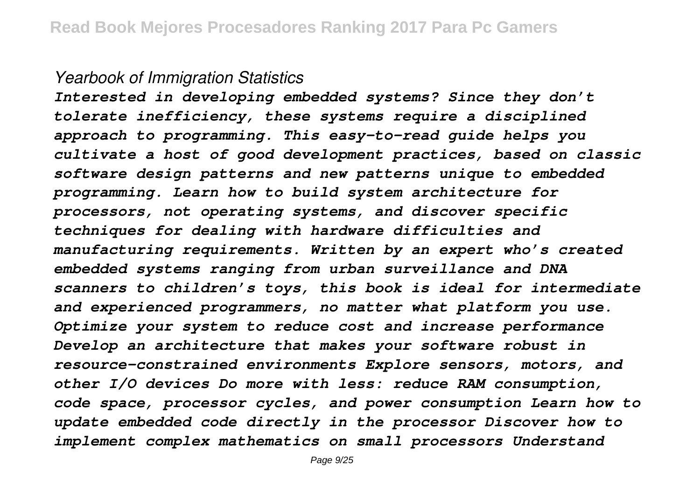#### *Yearbook of Immigration Statistics*

*Interested in developing embedded systems? Since they don't tolerate inefficiency, these systems require a disciplined approach to programming. This easy-to-read guide helps you cultivate a host of good development practices, based on classic software design patterns and new patterns unique to embedded programming. Learn how to build system architecture for processors, not operating systems, and discover specific techniques for dealing with hardware difficulties and manufacturing requirements. Written by an expert who's created embedded systems ranging from urban surveillance and DNA scanners to children's toys, this book is ideal for intermediate and experienced programmers, no matter what platform you use. Optimize your system to reduce cost and increase performance Develop an architecture that makes your software robust in resource-constrained environments Explore sensors, motors, and other I/O devices Do more with less: reduce RAM consumption, code space, processor cycles, and power consumption Learn how to update embedded code directly in the processor Discover how to implement complex mathematics on small processors Understand*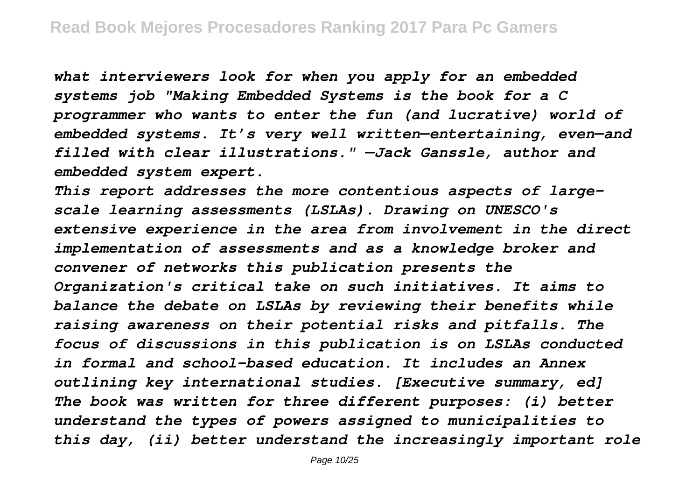*what interviewers look for when you apply for an embedded systems job "Making Embedded Systems is the book for a C programmer who wants to enter the fun (and lucrative) world of embedded systems. It's very well written—entertaining, even—and filled with clear illustrations." —Jack Ganssle, author and embedded system expert.*

*This report addresses the more contentious aspects of largescale learning assessments (LSLAs). Drawing on UNESCO's extensive experience in the area from involvement in the direct implementation of assessments and as a knowledge broker and convener of networks this publication presents the Organization's critical take on such initiatives. It aims to balance the debate on LSLAs by reviewing their benefits while raising awareness on their potential risks and pitfalls. The focus of discussions in this publication is on LSLAs conducted in formal and school-based education. It includes an Annex outlining key international studies. [Executive summary, ed] The book was written for three different purposes: (i) better understand the types of powers assigned to municipalities to this day, (ii) better understand the increasingly important role*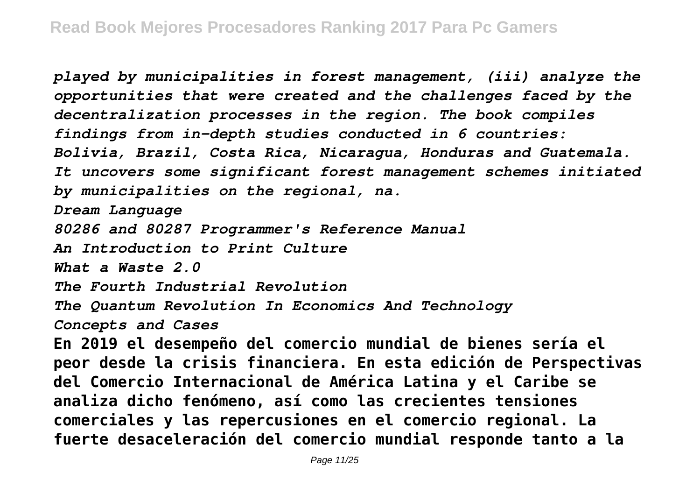*played by municipalities in forest management, (iii) analyze the opportunities that were created and the challenges faced by the decentralization processes in the region. The book compiles findings from in-depth studies conducted in 6 countries: Bolivia, Brazil, Costa Rica, Nicaragua, Honduras and Guatemala. It uncovers some significant forest management schemes initiated by municipalities on the regional, na. Dream Language 80286 and 80287 Programmer's Reference Manual An Introduction to Print Culture What a Waste 2.0 The Fourth Industrial Revolution The Quantum Revolution In Economics And Technology Concepts and Cases* **En 2019 el desempeño del comercio mundial de bienes sería el peor desde la crisis financiera. En esta edición de Perspectivas del Comercio Internacional de América Latina y el Caribe se analiza dicho fenómeno, así como las crecientes tensiones comerciales y las repercusiones en el comercio regional. La fuerte desaceleración del comercio mundial responde tanto a la**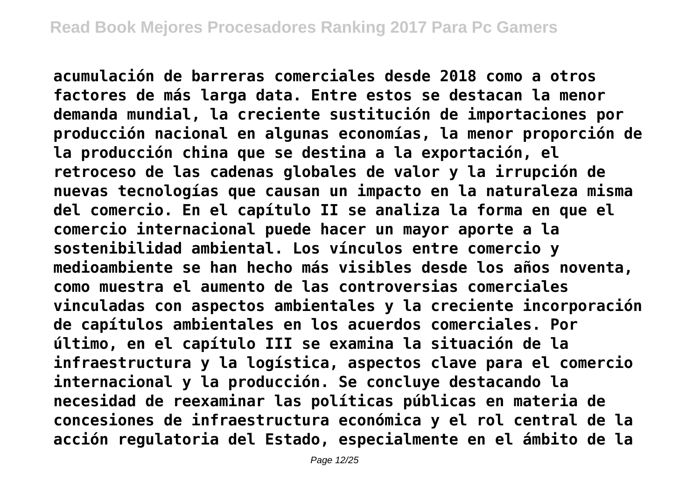**acumulación de barreras comerciales desde 2018 como a otros factores de más larga data. Entre estos se destacan la menor demanda mundial, la creciente sustitución de importaciones por producción nacional en algunas economías, la menor proporción de la producción china que se destina a la exportación, el retroceso de las cadenas globales de valor y la irrupción de nuevas tecnologías que causan un impacto en la naturaleza misma del comercio. En el capítulo II se analiza la forma en que el comercio internacional puede hacer un mayor aporte a la sostenibilidad ambiental. Los vínculos entre comercio y medioambiente se han hecho más visibles desde los años noventa, como muestra el aumento de las controversias comerciales vinculadas con aspectos ambientales y la creciente incorporación de capítulos ambientales en los acuerdos comerciales. Por último, en el capítulo III se examina la situación de la infraestructura y la logística, aspectos clave para el comercio internacional y la producción. Se concluye destacando la necesidad de reexaminar las políticas públicas en materia de concesiones de infraestructura económica y el rol central de la acción regulatoria del Estado, especialmente en el ámbito de la**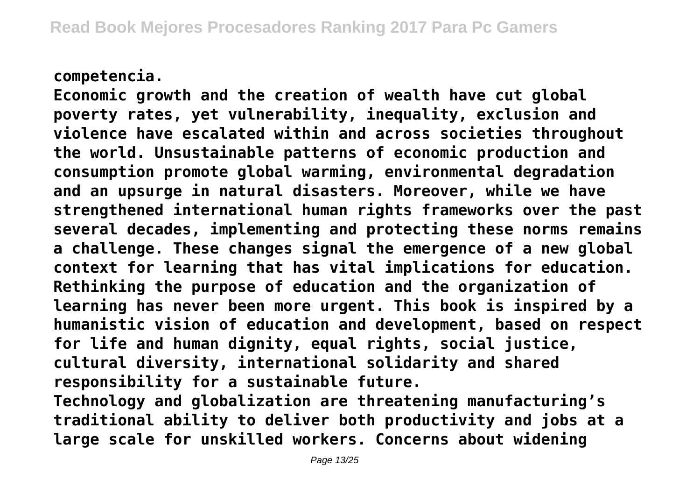#### **competencia.**

**Economic growth and the creation of wealth have cut global poverty rates, yet vulnerability, inequality, exclusion and violence have escalated within and across societies throughout the world. Unsustainable patterns of economic production and consumption promote global warming, environmental degradation and an upsurge in natural disasters. Moreover, while we have strengthened international human rights frameworks over the past several decades, implementing and protecting these norms remains a challenge. These changes signal the emergence of a new global context for learning that has vital implications for education. Rethinking the purpose of education and the organization of learning has never been more urgent. This book is inspired by a humanistic vision of education and development, based on respect for life and human dignity, equal rights, social justice, cultural diversity, international solidarity and shared responsibility for a sustainable future.**

**Technology and globalization are threatening manufacturing's traditional ability to deliver both productivity and jobs at a large scale for unskilled workers. Concerns about widening**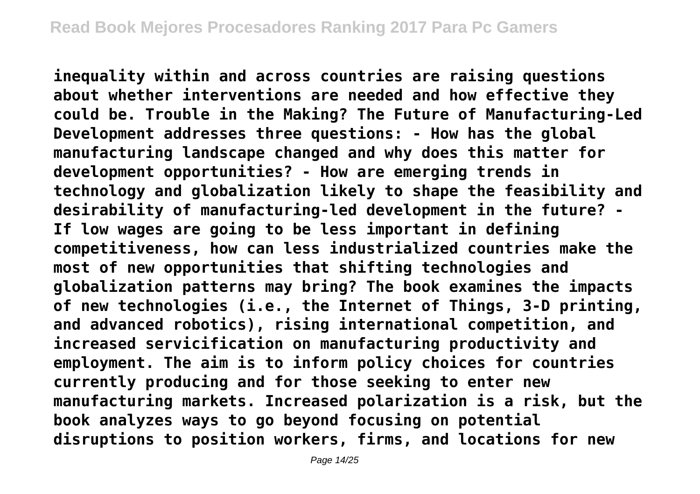**inequality within and across countries are raising questions about whether interventions are needed and how effective they could be. Trouble in the Making? The Future of Manufacturing-Led Development addresses three questions: - How has the global manufacturing landscape changed and why does this matter for development opportunities? - How are emerging trends in technology and globalization likely to shape the feasibility and desirability of manufacturing-led development in the future? - If low wages are going to be less important in defining competitiveness, how can less industrialized countries make the most of new opportunities that shifting technologies and globalization patterns may bring? The book examines the impacts of new technologies (i.e., the Internet of Things, 3-D printing, and advanced robotics), rising international competition, and increased servicification on manufacturing productivity and employment. The aim is to inform policy choices for countries currently producing and for those seeking to enter new manufacturing markets. Increased polarization is a risk, but the book analyzes ways to go beyond focusing on potential disruptions to position workers, firms, and locations for new**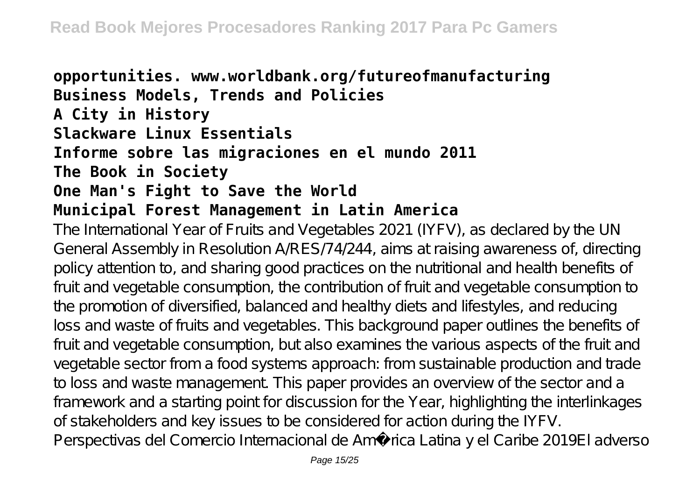## **opportunities. www.worldbank.org/futureofmanufacturing Business Models, Trends and Policies A City in History Slackware Linux Essentials Informe sobre las migraciones en el mundo 2011 The Book in Society One Man's Fight to Save the World Municipal Forest Management in Latin America**

The International Year of Fruits and Vegetables 2021 (IYFV), as declared by the UN General Assembly in Resolution A/RES/74/244, aims at raising awareness of, directing policy attention to, and sharing good practices on the nutritional and health benefits of fruit and vegetable consumption, the contribution of fruit and vegetable consumption to the promotion of diversified, balanced and healthy diets and lifestyles, and reducing loss and waste of fruits and vegetables. This background paper outlines the benefits of fruit and vegetable consumption, but also examines the various aspects of the fruit and vegetable sector from a food systems approach: from sustainable production and trade to loss and waste management. This paper provides an overview of the sector and a framework and a starting point for discussion for the Year, highlighting the interlinkages of stakeholders and key issues to be considered for action during the IYFV. Perspectivas del Comercio Internacional de América Latina y el Caribe 2019El adverso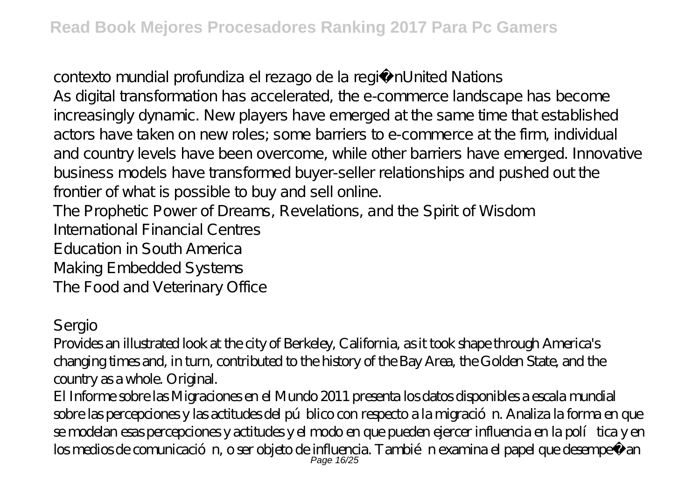contexto mundial profundiza el rezago de la regiónUnited Nations As digital transformation has accelerated, the e-commerce landscape has become increasingly dynamic. New players have emerged at the same time that established actors have taken on new roles; some barriers to e-commerce at the firm, individual and country levels have been overcome, while other barriers have emerged. Innovative business models have transformed buyer-seller relationships and pushed out the frontier of what is possible to buy and sell online. The Prophetic Power of Dreams, Revelations, and the Spirit of Wisdom

International Financial Centres

Education in South America

Making Embedded Systems

The Food and Veterinary Office

### Sergio

Provides an illustrated look at the city of Berkeley, California, as it took shape through America's changing times and, in turn, contributed to the history of the Bay Area, the Golden State, and the country as a whole. Original.

El Informe sobre las Migraciones en el Mundo 2011 presenta los datos disponibles a escala mundial sobre las percepciones y las actitudes del público con respecto a la migración. Analiza la forma en que se modelan esas percepciones y actitudes y el modo en que pueden ejercer influencia en la política y en los medios de comunicación, o ser objeto de influencia. También examina el papel que desempeñ an<br>Page 16/25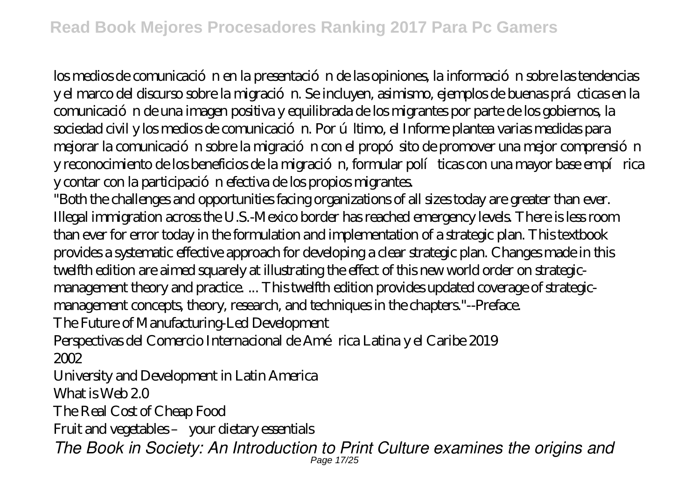los medios de comunicación en la presentación de las opiniones, la información sobre las tendencias y el marco del discurso sobre la migración. Se incluyen, asimismo, ejemplos de buenas prácticas en la comunicación de una imagen positiva y equilibrada de los migrantes por parte de los gobiernos, la sociedad civil y los medios de comunicación. Por último, el Informe plantea varias medidas para mejorar la comunicación sobre la migración con el propó sito de promover una mejor comprensión y reconocimiento de los beneficios de la migración, formular políticas con una mayor base empírica y contar con la participación efectiva de los propios migrantes.

"Both the challenges and opportunities facing organizations of all sizes today are greater than ever. Illegal immigration across the U.S.-Mexico border has reached emergency levels. There is less room than ever for error today in the formulation and implementation of a strategic plan. This textbook provides a systematic effective approach for developing a clear strategic plan. Changes made in this twelfth edition are aimed squarely at illustrating the effect of this new world order on strategicmanagement theory and practice. ... This twelfth edition provides updated coverage of strategicmanagement concepts, theory, research, and techniques in the chapters."--Preface. The Future of Manufacturing-Led Development

Perspectivas del Comercio Internacional de América Latina y el Caribe 2019 2002

University and Development in Latin America

What is Web 2.0

The Real Cost of Cheap Food

Fruit and vegetables – your dietary essentials

*The Book in Society: An Introduction to Print Culture examines the origins and* Page 17/25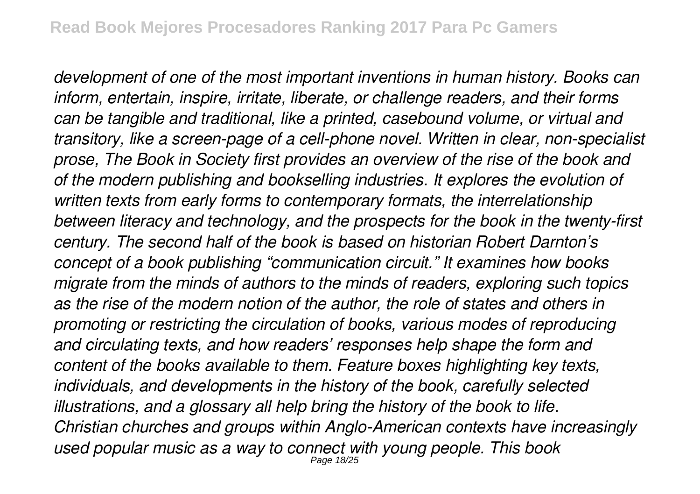*development of one of the most important inventions in human history. Books can inform, entertain, inspire, irritate, liberate, or challenge readers, and their forms can be tangible and traditional, like a printed, casebound volume, or virtual and transitory, like a screen-page of a cell-phone novel. Written in clear, non-specialist prose, The Book in Society first provides an overview of the rise of the book and of the modern publishing and bookselling industries. It explores the evolution of written texts from early forms to contemporary formats, the interrelationship between literacy and technology, and the prospects for the book in the twenty-first century. The second half of the book is based on historian Robert Darnton's concept of a book publishing "communication circuit." It examines how books migrate from the minds of authors to the minds of readers, exploring such topics as the rise of the modern notion of the author, the role of states and others in promoting or restricting the circulation of books, various modes of reproducing and circulating texts, and how readers' responses help shape the form and content of the books available to them. Feature boxes highlighting key texts, individuals, and developments in the history of the book, carefully selected illustrations, and a glossary all help bring the history of the book to life. Christian churches and groups within Anglo-American contexts have increasingly used popular music as a way to connect with young people. This book* Page 18/25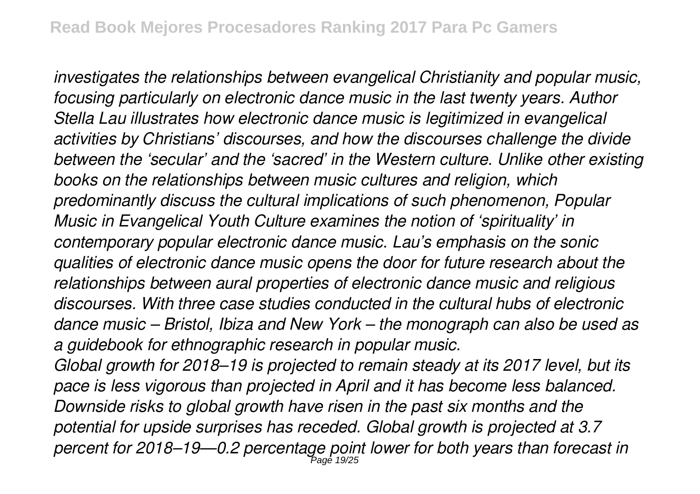*investigates the relationships between evangelical Christianity and popular music, focusing particularly on electronic dance music in the last twenty years. Author Stella Lau illustrates how electronic dance music is legitimized in evangelical activities by Christians' discourses, and how the discourses challenge the divide between the 'secular' and the 'sacred' in the Western culture. Unlike other existing books on the relationships between music cultures and religion, which predominantly discuss the cultural implications of such phenomenon, Popular Music in Evangelical Youth Culture examines the notion of 'spirituality' in contemporary popular electronic dance music. Lau's emphasis on the sonic qualities of electronic dance music opens the door for future research about the relationships between aural properties of electronic dance music and religious discourses. With three case studies conducted in the cultural hubs of electronic dance music – Bristol, Ibiza and New York – the monograph can also be used as a guidebook for ethnographic research in popular music.*

*Global growth for 2018–19 is projected to remain steady at its 2017 level, but its pace is less vigorous than projected in April and it has become less balanced. Downside risks to global growth have risen in the past six months and the potential for upside surprises has receded. Global growth is projected at 3.7 percent for 2018–19—0.2 percentage point lower for both years than forecast in* Page 19/25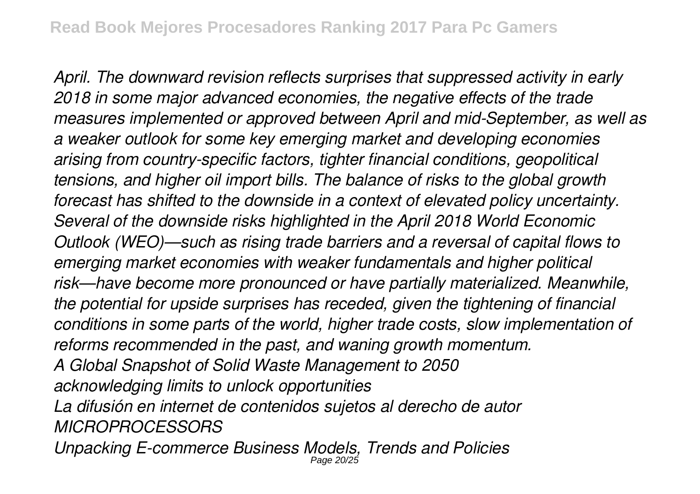*April. The downward revision reflects surprises that suppressed activity in early 2018 in some major advanced economies, the negative effects of the trade measures implemented or approved between April and mid-September, as well as a weaker outlook for some key emerging market and developing economies arising from country-specific factors, tighter financial conditions, geopolitical tensions, and higher oil import bills. The balance of risks to the global growth forecast has shifted to the downside in a context of elevated policy uncertainty. Several of the downside risks highlighted in the April 2018 World Economic Outlook (WEO)—such as rising trade barriers and a reversal of capital flows to emerging market economies with weaker fundamentals and higher political risk—have become more pronounced or have partially materialized. Meanwhile, the potential for upside surprises has receded, given the tightening of financial conditions in some parts of the world, higher trade costs, slow implementation of reforms recommended in the past, and waning growth momentum. A Global Snapshot of Solid Waste Management to 2050 acknowledging limits to unlock opportunities La difusión en internet de contenidos sujetos al derecho de autor MICROPROCESSORS Unpacking E-commerce Business Models, Trends and Policies* Page 20/25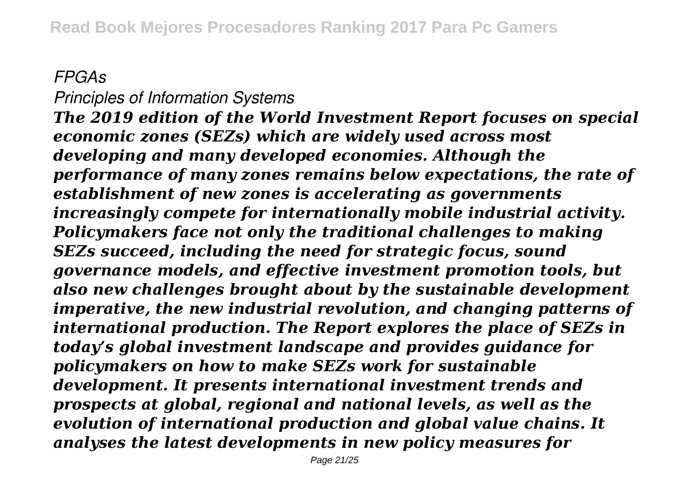## *FPGAs*

*Principles of Information Systems The 2019 edition of the World Investment Report focuses on special economic zones (SEZs) which are widely used across most developing and many developed economies. Although the performance of many zones remains below expectations, the rate of establishment of new zones is accelerating as governments increasingly compete for internationally mobile industrial activity. Policymakers face not only the traditional challenges to making SEZs succeed, including the need for strategic focus, sound governance models, and effective investment promotion tools, but also new challenges brought about by the sustainable development imperative, the new industrial revolution, and changing patterns of international production. The Report explores the place of SEZs in today's global investment landscape and provides guidance for policymakers on how to make SEZs work for sustainable development. It presents international investment trends and prospects at global, regional and national levels, as well as the evolution of international production and global value chains. It analyses the latest developments in new policy measures for*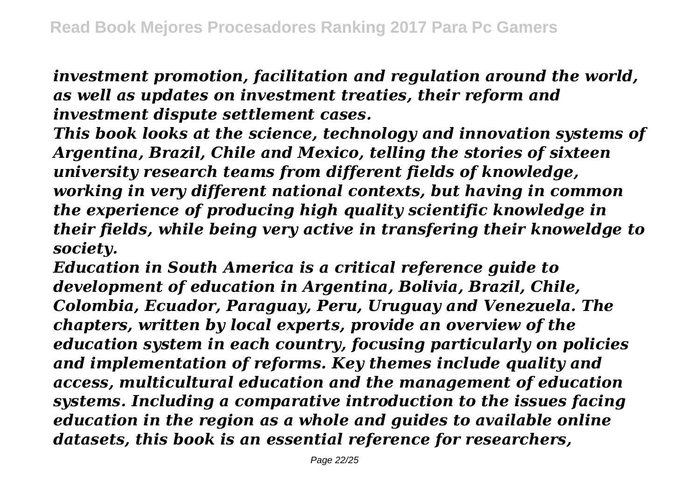*investment promotion, facilitation and regulation around the world, as well as updates on investment treaties, their reform and investment dispute settlement cases.*

*This book looks at the science, technology and innovation systems of Argentina, Brazil, Chile and Mexico, telling the stories of sixteen university research teams from different fields of knowledge, working in very different national contexts, but having in common the experience of producing high quality scientific knowledge in their fields, while being very active in transfering their knoweldge to society.*

*Education in South America is a critical reference guide to development of education in Argentina, Bolivia, Brazil, Chile, Colombia, Ecuador, Paraguay, Peru, Uruguay and Venezuela. The chapters, written by local experts, provide an overview of the education system in each country, focusing particularly on policies and implementation of reforms. Key themes include quality and access, multicultural education and the management of education systems. Including a comparative introduction to the issues facing education in the region as a whole and guides to available online datasets, this book is an essential reference for researchers,*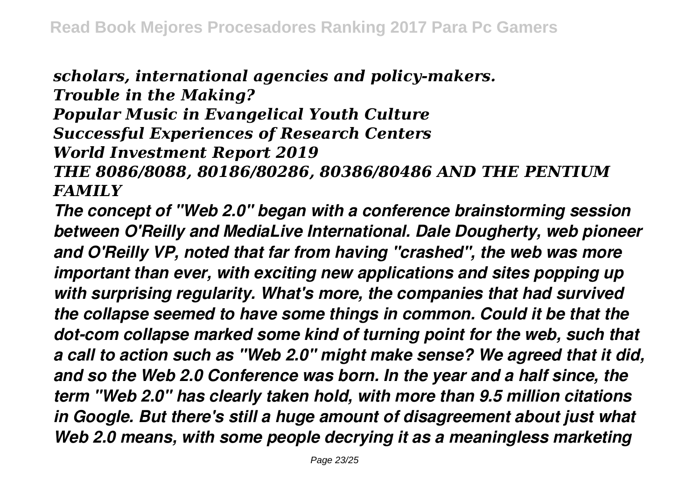*scholars, international agencies and policy-makers. Trouble in the Making?*

*Popular Music in Evangelical Youth Culture Successful Experiences of Research Centers*

*World Investment Report 2019*

*THE 8086/8088, 80186/80286, 80386/80486 AND THE PENTIUM FAMILY*

*The concept of "Web 2.0" began with a conference brainstorming session between O'Reilly and MediaLive International. Dale Dougherty, web pioneer and O'Reilly VP, noted that far from having "crashed", the web was more important than ever, with exciting new applications and sites popping up with surprising regularity. What's more, the companies that had survived the collapse seemed to have some things in common. Could it be that the dot-com collapse marked some kind of turning point for the web, such that a call to action such as "Web 2.0" might make sense? We agreed that it did, and so the Web 2.0 Conference was born. In the year and a half since, the term "Web 2.0" has clearly taken hold, with more than 9.5 million citations in Google. But there's still a huge amount of disagreement about just what Web 2.0 means, with some people decrying it as a meaningless marketing*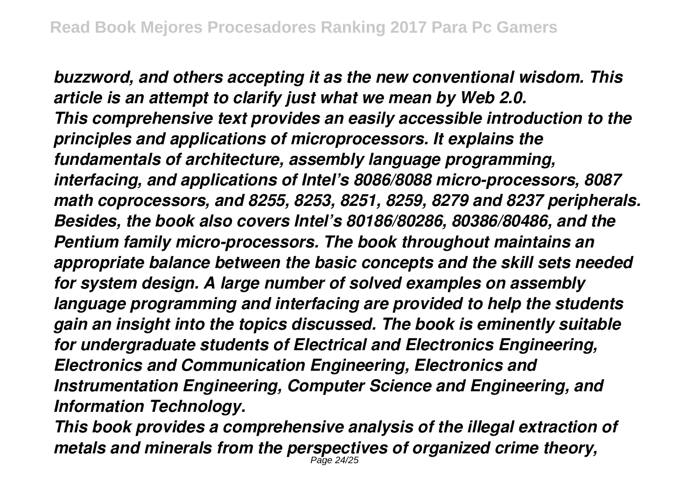*buzzword, and others accepting it as the new conventional wisdom. This article is an attempt to clarify just what we mean by Web 2.0. This comprehensive text provides an easily accessible introduction to the principles and applications of microprocessors. It explains the fundamentals of architecture, assembly language programming, interfacing, and applications of Intel's 8086/8088 micro-processors, 8087 math coprocessors, and 8255, 8253, 8251, 8259, 8279 and 8237 peripherals. Besides, the book also covers Intel's 80186/80286, 80386/80486, and the Pentium family micro-processors. The book throughout maintains an appropriate balance between the basic concepts and the skill sets needed for system design. A large number of solved examples on assembly language programming and interfacing are provided to help the students gain an insight into the topics discussed. The book is eminently suitable for undergraduate students of Electrical and Electronics Engineering, Electronics and Communication Engineering, Electronics and Instrumentation Engineering, Computer Science and Engineering, and Information Technology.*

*This book provides a comprehensive analysis of the illegal extraction of metals and minerals from the perspectives of organized crime theory,* Page 24/25